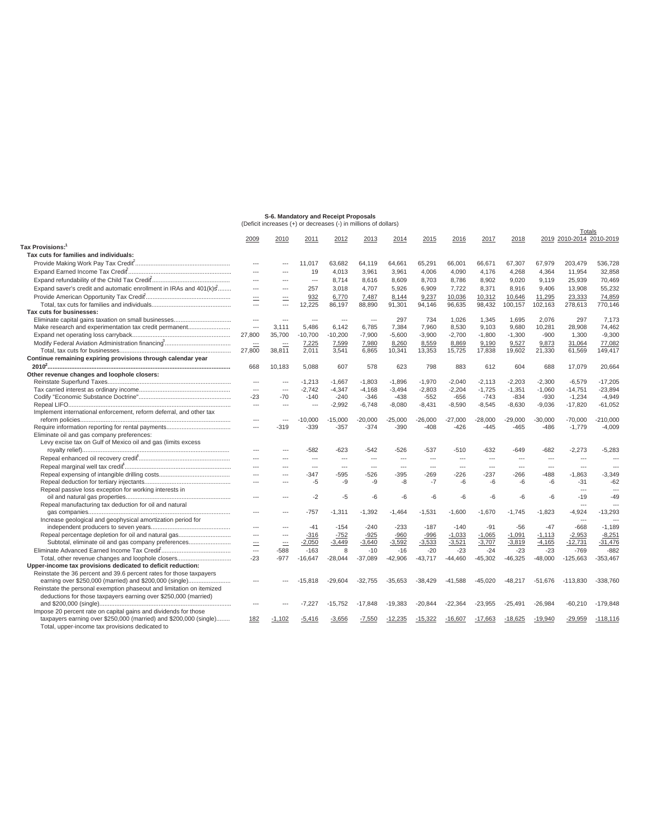## **S-6. Mandatory and Receipt Proposals** (Deficit increases (+) or decreases (-) in millions of dollars)

|                                                                                                                      |                          |                         |                |                |                |           |                         |                |                |                |                          | Totals                   |                |
|----------------------------------------------------------------------------------------------------------------------|--------------------------|-------------------------|----------------|----------------|----------------|-----------|-------------------------|----------------|----------------|----------------|--------------------------|--------------------------|----------------|
| <b>Tax Provisions:</b>                                                                                               | 2009                     | 2010                    | 2011           | 2012           | 2013           | 2014      | 2015                    | 2016           | 2017           | 2018           |                          | 2019 2010-2014 2010-2019 |                |
| Tax cuts for families and individuals:                                                                               |                          |                         |                |                |                |           |                         |                |                |                |                          |                          |                |
|                                                                                                                      | $\overline{\phantom{a}}$ | ---                     | 11.017         | 63,682         | 64,119         | 64,661    | 65,291                  | 66,001         | 66,671         | 67,307         | 67,979                   | 203,479                  | 536,728        |
|                                                                                                                      | $\overline{a}$           | $---$                   | 19             | 4.013          |                |           |                         | 4.090          | 4.176          |                |                          |                          | 32.858         |
|                                                                                                                      |                          |                         |                |                | 3,961          | 3,961     | 4,006                   |                |                | 4,268          | 4,364                    | 11,954                   |                |
|                                                                                                                      | $\sim$                   | $\sim$                  | $\overline{a}$ | 8.714          | 8.616          | 8.609     | 8.703                   | 8.786          | 8.902          | 9.020          | 9.119                    | 25.939                   | 70.469         |
| Expand saver's credit and automatic enrollment in IRAs and 401(k)s                                                   |                          |                         | 257            | 3,018          | 4,707          | 5,926     | 6,909                   | 7,722          | 8,371          | 8,916          | 9,406                    | 13,908                   | 55,232         |
|                                                                                                                      | ÷.                       |                         | 932            | 6,770          | 7,487          | 8,144     | 9,237                   | 10,036         | 10,312         | 10,646         | 11,295                   | 23,333                   | 74,859         |
|                                                                                                                      | $\sim$                   | $\overline{a}$          | 12,225         | 86,197         | 88,890         | 91,301    | 94.146                  | 96.635         | 98,432         | 100,157        | 102,163                  | 278,613                  | 770,146        |
| Tax cuts for businesses:                                                                                             |                          |                         |                |                |                |           |                         |                |                |                |                          |                          |                |
|                                                                                                                      | $\overline{a}$           | ÷÷                      | $\overline{a}$ | ---            | $\overline{a}$ | 297       | 734                     | 1.026          | 1.345          | 1.695          | 2.076                    | 297                      | 7,173          |
| Make research and experimentation tax credit permanent                                                               | $\overline{\phantom{a}}$ | 3.111                   | 5,486          | 6,142          | 6,785          | 7,384     | 7,960                   | 8,530          | 9,103          | 9,680          | 10,281                   | 28,908                   | 74,462         |
|                                                                                                                      | 27,800                   | 35,700                  | $-10,700$      | $-10,200$      | $-7,900$       | $-5,600$  | $-3,900$                | $-2,700$       | $-1,800$       | $-1,300$       | $-900$                   | 1,300                    | $-9.300$       |
|                                                                                                                      | $\equiv$                 |                         | 7,225          | 7,599          | 7,980          | 8,260     | 8,559                   | 8,869          | 9,190          | 9,527          | 9,873                    | 31,064                   | 77,082         |
|                                                                                                                      | 27,800                   | 38,811                  | 2,011          | 3,541          | 6,865          | 10,341    | 13,353                  | 15,725         | 17,838         | 19,602         | 21,330                   | 61,569                   | 149,417        |
| Continue remaining expiring provisions through calendar year                                                         |                          |                         |                |                |                |           |                         |                |                |                |                          |                          |                |
|                                                                                                                      | 668                      | 10.183                  | 5,088          | 607            | 578            | 623       | 798                     | 883            | 612            | 604            | 688                      | 17.079                   | 20,664         |
| Other revenue changes and loophole closers:                                                                          |                          |                         |                |                |                |           |                         |                |                |                |                          |                          |                |
|                                                                                                                      | $\sim$                   | $\sim$                  | $-1.213$       | $-1.667$       | $-1.803$       | $-1.896$  | $-1.970$                | $-2.040$       | $-2.113$       | $-2.203$       | $-2.300$                 | $-6.579$                 | $-17.205$      |
|                                                                                                                      | $\sim$                   | $\hspace{0.05cm}\ldots$ | $-2,742$       | $-4,347$       | $-4,168$       | $-3,494$  | $-2,803$                | $-2.204$       | $-1,725$       | $-1,351$       | $-1,060$                 | $-14,751$                | $-23.894$      |
|                                                                                                                      | $-23$                    | $-70$                   | $-140$         | $-240$         | $-346$         | $-438$    | $-552$                  | $-656$         | $-743$         | $-834$         | $-930$                   | $-1.234$                 | $-4.949$       |
|                                                                                                                      | $\overline{\phantom{a}}$ | $\overline{a}$          | $\overline{a}$ | $-2,992$       | $-6,748$       | $-8,080$  | $-8,431$                | $-8,590$       | $-8,545$       | $-8,630$       | $-9,036$                 | $-17,820$                | $-61,052$      |
| Implement international enforcement, reform deferral, and other tax                                                  |                          |                         |                |                |                |           |                         |                |                |                |                          |                          |                |
|                                                                                                                      | $\overline{a}$           | $\overline{a}$          | $-10,000$      | $-15,000$      | $-20,000$      | $-25,000$ | $-26,000$               | $-27,000$      | $-28,000$      | $-29,000$      | $-30,000$                | $-70,000$                | $-210,000$     |
|                                                                                                                      | $\cdots$                 | $-319$                  | $-339$         | $-357$         | $-374$         | $-390$    | $-408$                  | $-426$         | $-445$         | $-465$         | $-486$                   | $-1,779$                 | $-4,009$       |
| Eliminate oil and gas company preferences:                                                                           |                          |                         |                |                |                |           |                         |                |                |                |                          |                          |                |
| Levy excise tax on Gulf of Mexico oil and gas (limits excess                                                         |                          |                         |                |                |                |           |                         |                |                |                |                          |                          |                |
|                                                                                                                      | $\overline{a}$           |                         | $-582$         | $-623$         | -542           | $-526$    | -537                    | $-510$         | $-632$         | $-649$         | -682                     | $-2,273$                 | $-5,283$       |
|                                                                                                                      | $\overline{a}$           | $---$                   | $\overline{a}$ | $\overline{a}$ | $\overline{a}$ | $\sim$    | $\overline{a}$          | $\overline{a}$ | $\overline{a}$ | $\overline{a}$ | $\sim$                   | $\sim$                   | ---            |
|                                                                                                                      | $\sim$                   | ---                     | $\cdots$       | $\cdots$       | $\overline{a}$ | $\cdots$  | $\hspace{0.05cm}\ldots$ | $\overline{a}$ | ---            | $\cdots$       | $\hspace{0.05cm} \ldots$ | $\sim$                   | $\overline{a}$ |
|                                                                                                                      | $\overline{a}$           | $\overline{a}$          | $-347$         | -595           | -526           | $-395$    | $-269$                  | $-226$         | $-237$         | $-266$         | -488                     | $-1,863$                 | $-3,349$       |
|                                                                                                                      |                          |                         | $-5$           | $-9$           | -9             | -8        | $-7$                    | $-6$           | -6             | $-6$           | -6                       | $-31$                    | $-62$          |
| Repeal passive loss exception for working interests in                                                               |                          |                         |                |                |                |           |                         |                |                |                |                          | $---$                    | ---            |
|                                                                                                                      | $\sim$                   |                         | $-2$           | $-5$           | $-6$           | -6        | $-6$                    | -6             | -6             | $-6$           | $-6$                     | $-19$                    | $-49$          |
| Repeal manufacturing tax deduction for oil and natural                                                               |                          |                         |                |                |                |           |                         |                |                |                |                          | $\sim$                   |                |
|                                                                                                                      | $\sim$                   |                         | $-757$         | $-1.311$       | $-1.392$       | $-1.464$  | $-1.531$                | $-1.600$       | $-1.670$       | $-1.745$       | $-1.823$                 | $-4,924$                 | $-13,293$      |
| Increase geological and geophysical amortization period for                                                          |                          |                         |                |                |                |           |                         |                |                |                |                          | $\overline{a}$           | ---            |
|                                                                                                                      | $\overline{a}$           |                         | $-41$          | $-154$         | $-240$         | $-233$    | $-187$                  | $-140$         | $-91$          | $-56$          | $-47$                    | $-668$                   | $-1.189$       |
|                                                                                                                      | $-$                      | $\overline{a}$          | $-316$         | $-752$         | $-925$         | $-960$    | $-996$                  | $-1,033$       | $-1,065$       | $-1,091$       | $-1,113$                 | $-2,953$                 | $-8,251$       |
| Subtotal, eliminate oil and gas company preferences                                                                  | ÷.                       | $\equiv$                | $-2,050$       | $-3,449$       | $-3,640$       | $-3,592$  | $-3,533$                | $-3,521$       | $-3,707$       | $-3,819$       | $-4,165$                 | $-12,731$                | $-31,476$      |
|                                                                                                                      | $\overline{a}$           | $-588$                  | $-163$         | 8              | $-10$          | $-16$     | $-20$                   | $-23$          | $-24$          | $-23$          | $-23$                    | $-769$                   | $-882$         |
| Total, other revenue changes and loophole closers                                                                    | $-23$                    | $-977$                  | $-16,647$      | $-28,044$      | $-37,089$      | $-42,906$ | $-43,717$               | $-44,460$      | $-45,302$      | $-46,325$      | $-48,000$                | $-125,663$               | $-353,467$     |
| Upper-income tax provisions dedicated to deficit reduction:                                                          |                          |                         |                |                |                |           |                         |                |                |                |                          |                          |                |
| Reinstate the 36 percent and 39.6 percent rates for those taxpayers                                                  |                          |                         |                |                |                |           |                         |                |                |                |                          |                          |                |
| earning over \$250,000 (married) and \$200,000 (single)                                                              | $\overline{a}$           |                         | $-15.818$      | $-29.604$      | $-32.755$      | $-35.653$ | $-38.429$               | $-41.588$      | $-45.020$      | $-48.217$      | $-51.676$                | $-113.830$               | $-338.760$     |
| Reinstate the personal exemption phaseout and limitation on itemized                                                 |                          |                         |                |                |                |           |                         |                |                |                |                          |                          |                |
| deductions for those taxpayers earning over \$250,000 (married)                                                      |                          |                         |                |                |                |           |                         |                |                |                |                          |                          |                |
|                                                                                                                      |                          |                         | $-7.227$       | $-15,752$      | $-17,848$      | $-19,383$ | $-20,844$               | $-22,364$      | $-23,955$      | $-25,491$      | $-26.984$                | $-60,210$                | $-179.848$     |
| Impose 20 percent rate on capital gains and dividends for those                                                      |                          |                         |                |                |                |           |                         |                |                |                |                          |                          |                |
| taxpayers earning over \$250,000 (married) and \$200,000 (single)<br>Total, upper-income tax provisions dedicated to | 182                      | $-1.102$                | $-5,416$       | $-3,656$       | $-7.550$       | $-12.235$ | $-15.322$               | $-16.607$      | $-17,663$      | $-18,625$      | $-19.940$                | -29.959                  | $-118,116$     |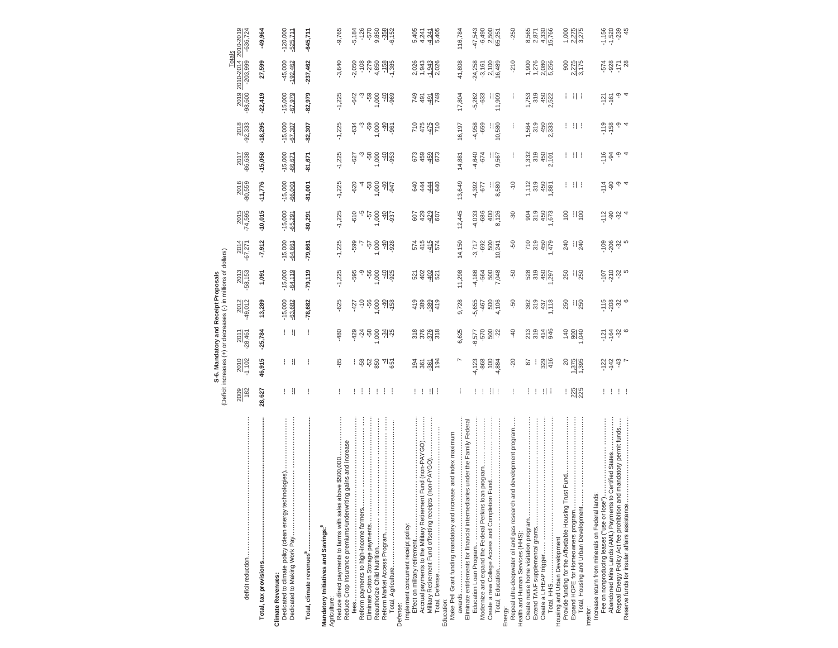|                                                                                                                                                                                      |                             |                           |                                                             | Deficit increases (+) or decreases (-) in millions of dollars)<br>S-6. Mandatory and Receipt Proposals |                                        |                        |                                                         |                        |                        |                        |                          |                                           |                                      |
|--------------------------------------------------------------------------------------------------------------------------------------------------------------------------------------|-----------------------------|---------------------------|-------------------------------------------------------------|--------------------------------------------------------------------------------------------------------|----------------------------------------|------------------------|---------------------------------------------------------|------------------------|------------------------|------------------------|--------------------------|-------------------------------------------|--------------------------------------|
|                                                                                                                                                                                      | 2009                        | $\frac{2010}{1,102}$      | 2011<br>-28,461                                             | 2012<br>49,012                                                                                         | 2013<br>-58, 153                       | 2014<br>-67,271        | 2015<br>-74,595                                         | 2016<br>80,559         | 2017<br>-86,638        | 2018<br>92,333         | 2019<br>-98,600          | Totals<br>2010-2014<br>$-203,999$         | 2010-2019<br>$-636,724$              |
|                                                                                                                                                                                      | 28,627                      | 46,915                    | $-25,784$                                                   | 13,289                                                                                                 | 1,091                                  | $-7,912$               | $-10,015$                                               | $-11,776$              | $-15,058$              | $-18,295$              | $-22,419$                | 27,599                                    | $-49,964$                            |
| Dedicated to climate policy (clean energy technologies)<br><b>Climate Revenues:</b>                                                                                                  | $\mathbf{1}$                | ΗI                        | ΗH                                                          | $-15,000$<br>$-63,682$                                                                                 | $-15,000$<br>$-64, 119$                | $-15,000$<br>$-64,661$ | $-15,000$<br>$-65,291$                                  | $-15,000$<br>$-66,001$ | $-15,000$<br>$-66,671$ | $-15,000$<br>$-67,307$ | $-15,000$<br>$-67,979$   | $-45,000$<br>$-192,462$                   | 120,000<br>$-525,711$                |
|                                                                                                                                                                                      | ł                           |                           |                                                             | $-78,682$                                                                                              | $-79,119$                              | $-79,661$              | 80,291                                                  | $-81,001$              | -81,671                | $-82,307$              | -82,979                  | $-237,462$                                | $-645,711$                           |
| ng gains and increase<br>Reduce Crop Insurance premiums/underwritin<br>Reduce direct payments to farms with sales<br>Mandatory Initiatives and Savings: <sup>6</sup><br>Agriculture: | ÷                           | థి                        | -480                                                        | $-625$                                                                                                 | $-1,225$                               | $-1,225$               | $-1,225$                                                | $-1,225$               | $-1,225$               | $-1,225$               | $-1,225$                 | $-3,640$                                  | $-9,765$                             |
|                                                                                                                                                                                      |                             |                           | $-429$                                                      |                                                                                                        | -595                                   | -599                   | $-610$                                                  | $-620$                 | $-627$                 | $-634$                 | $-642$                   | $-2,050$                                  |                                      |
| Eliminate Cotton Storage payments                                                                                                                                                    | $\mathbf{1}$<br>÷           |                           | $7480$<br>$1.900$                                           |                                                                                                        |                                        | -57                    |                                                         |                        | -58                    |                        |                          | $-108$                                    |                                      |
|                                                                                                                                                                                      | ÷                           |                           |                                                             |                                                                                                        | $-56$<br>1,000                         | 1,000                  | 1,000<br>75-                                            |                        | 1,000                  | $-59$<br>1,000         |                          | $-279$<br>4,850                           |                                      |
|                                                                                                                                                                                      | $\cdots$                    | । ଞ୍ଚି ଧ୍ନ ଟ୍ଡି ଏକ୍ଟ      | $-34$                                                       | ဍ = န <u>ခွ</u> ချန္မ                                                                                  | $\frac{40}{925}$                       | $\frac{40}{928}$       | $\frac{40}{937}$                                        | 유 <u>၀</u><br>호텔       | $-40$                  | $\frac{40}{96}$        |                          | $\frac{-158}{-1,385}$                     | 5186<br>506688167<br>50689167        |
| Implement concurrent receipt policy:<br>Defense:                                                                                                                                     |                             |                           |                                                             |                                                                                                        |                                        |                        |                                                         |                        |                        |                        |                          |                                           |                                      |
| Accrual payments to the Military Retirement Fund (non-PAYGO)                                                                                                                         | ! !                         |                           | $\frac{378}{376}$                                           |                                                                                                        | 521<br>402                             | 574<br>415             |                                                         | 844<br>94              |                        |                        |                          |                                           |                                      |
|                                                                                                                                                                                      | - 11 F                      | <u>ទ្ធ ឌី ម៉ូ</u>         | $-376$<br>318                                               | $4889$<br>$489$<br>$49$<br>$49$                                                                        | $-402$                                 | $-415$<br>574          | 63496                                                   | $-444$                 | 629923                 | 0 475<br>155<br>175    | 254512<br>25452          | $2,943$<br>$1,943$<br>$-1,943$<br>$2,026$ | 5,4241<br>4,241<br>5,405<br>5,405    |
| Make Pell Grant funding mandatory and increase and index maximum<br>Education:                                                                                                       |                             |                           |                                                             |                                                                                                        |                                        |                        |                                                         |                        |                        |                        |                          |                                           |                                      |
| Eliminate entitlements for financial intermediaries under the Family Federal                                                                                                         | ÷                           |                           | 6,625                                                       | 9,728                                                                                                  | 11,298                                 | 14,150                 | 12,445                                                  | 13,649                 | 14,881                 | 16,197                 | 17,804                   | 41,808                                    | 116,784                              |
|                                                                                                                                                                                      |                             | $-4,123$                  | $-6,577$                                                    | 5,655                                                                                                  | -4,186                                 | $-3,717$               | 4,033                                                   | -4,392<br>-677         | $-4,640$               | $-4,958$               | $-5,262$                 | $-24,258$                                 | 47,543                               |
| Modernize and expand the Federal Perkins loan program                                                                                                                                | ÷                           | $-868$                    | -570                                                        | -467                                                                                                   | $-564$                                 | -692                   | -686                                                    |                        | $-674$                 | $-659$                 | $-633$                   | $-3,161$                                  | $-6,490$                             |
|                                                                                                                                                                                      | -11-1                       | $-4,884$                  | 500                                                         | 500<br>4,106                                                                                           | 7,048                                  | 500<br>10,241          | $\frac{400}{8,126}$                                     | $rac{1}{8.580}$        | $rac{1}{9.567}$        | $\frac{10,580}{2}$     | $\frac{1}{1,909}$        | 2,100<br>16,489                           | 2,500<br>65,251                      |
| Repeal ultra-deepwater oil and gas research and development program<br>Health and Human Services (HHS):<br>Energy:                                                                   | ÷                           | $-20$                     | $\frac{40}{5}$                                              | -50                                                                                                    | Ş.                                     | -50                    | -30                                                     | $\frac{0}{1}$          | ł                      | ł                      | ł                        | $-210$                                    | $-250$                               |
| Create nurse home visitation program                                                                                                                                                 | ÷                           | ≅                         |                                                             |                                                                                                        |                                        |                        |                                                         |                        |                        |                        |                          |                                           | 8,565                                |
| Extend TANF supplemental grants                                                                                                                                                      | ÷,                          |                           | 213<br>319                                                  | 362<br>319                                                                                             | 528<br>319                             | $\frac{6}{319}$        | 904<br>319                                              | $1,112$<br>319         | 1,332<br>319           | 564<br>319             | 1,753<br>319             |                                           | 2,871                                |
|                                                                                                                                                                                      | -11-1                       | 329                       | 414<br>946                                                  | $\frac{437}{118}$                                                                                      | 450                                    | $\frac{450}{479}$      | 450                                                     | 450                    | $\frac{450}{2,101}$    | $\frac{450}{333}$      | 450                      | 1,376<br>1,276<br>2,080<br>5,256          | 4,330<br>5,766                       |
| Housing and Urban Development                                                                                                                                                        |                             | ର                         |                                                             | 250                                                                                                    | 250                                    | 240                    | 100                                                     |                        |                        |                        |                          |                                           |                                      |
|                                                                                                                                                                                      | <b>125</b><br>225           | 1,375                     | $rac{98}{36}$                                               | $\frac{1}{250}$                                                                                        | $\frac{1}{250}$                        | $\frac{1}{240}$        | $\frac{100}{100}$                                       | 1 H I                  | 1 II I                 | 1 II I                 | 1 II I                   | 900<br>2.275<br>3,175                     | $1,000$<br>$2,275$<br>$3,275$        |
| Increase return from minerals on Federal lands:<br>Interior:                                                                                                                         |                             |                           |                                                             |                                                                                                        |                                        |                        |                                                         |                        |                        |                        |                          |                                           |                                      |
| Repeal Energy Policy Act fee prohibition and mandatory permit funds<br>Abandoned Mine Lands (AML) Payments to Certified States.<br>Fee on nonproducing leases ("use or lose"         | Ħ<br>$\left  \cdot \right $ | $-142$<br>$-43$<br>$-122$ | $\frac{5}{10}$ $\frac{5}{10}$ $\frac{3}{10}$ $\frac{6}{10}$ | $70890$<br>$-20890$                                                                                    | $107$<br>$-29$<br>$-9$<br>$-9$<br>$-9$ | $-206$<br>325          | $\frac{2}{1}$ $\frac{8}{9}$ $\frac{1}{9}$ $\frac{4}{4}$ | ှ +<br>$-90$           | ှာ +<br>$-94$          | $-158$<br>ှာ +         | ၈ှ +<br>$-121$<br>$-161$ | 52878                                     | $-1,156$<br>$-1,520$<br>$-239$<br>45 |
| Reserve funds for insular affairs assistance                                                                                                                                         |                             |                           |                                                             |                                                                                                        |                                        |                        |                                                         |                        |                        |                        |                          |                                           |                                      |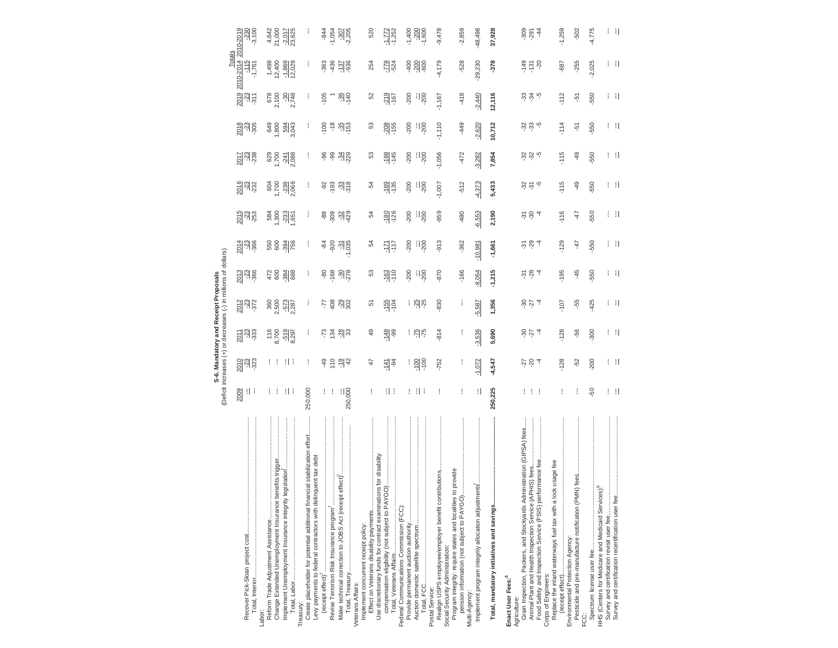| 2017<br>-238<br>$\frac{2016}{332}$<br>$\frac{2015}{253}$<br>$\frac{201}{300}$<br>$\frac{203}{36}$<br>2012<br>-23<br>-372<br><u>Suge</u><br>116<br>2013<br>2009<br>9H | 829<br>1708<br>1708<br>88 888<br>$\frac{3}{8} \frac{3}{8} \frac{3}{8} \frac{5}{8}$<br>50 34 756<br>472<br>600<br>384<br>$2,500$<br>$-572$<br>$-525$<br>$-\frac{519}{8,297}$<br>8,700<br>$\mathbf{  }$<br>Ħ<br>Ħ<br>H 1 | ł<br>ŧ<br>ŧ<br>ŧ<br>ł.<br>250,000                                                                                                              | 86<br>99<br>$-92$<br>$-84$<br>920<br>-49<br>÷        | $-34$<br>229<br>$-33$<br>န ့ မွ များ<br>$-31$<br>$-35$<br>8 g 8 g 8<br><b>두 을 웨</b> 음<br><b>23 38</b><br>2942<br>$\frac{1}{250,000}$ | යි<br>54<br>2<br>54<br>යි<br>5<br>$\overline{49}$<br>47                        | $-198$<br>$\frac{-189}{135}$<br>$\frac{80}{126}$<br>지구<br>$\frac{163}{110}$<br>$rac{155}{104}$<br>$rac{96}{148}$<br>$-141$<br>H I | $-200$<br>-200<br>$-200$<br>$-200$<br>$-200$<br>i 85<br>$-75$<br><u>   일</u> 은<br>1 H I | $-1,056$<br>$\frac{1}{200}$<br>$\frac{1}{200}$<br>$-1,007$<br>-959<br>$\frac{1}{200}$<br>$-913$<br>$\frac{1}{200}$<br>$-870$<br>$\frac{1}{200}$<br>$-830$<br>814<br>$-752$<br>÷ | -472<br>$-512$<br>-480<br>$-362$<br>$-166$<br>i<br>i<br>ł.                                     | $-3,282$<br>$-4,373$<br>$-6,553$<br>$-10,981$<br>$-8,054$<br>$-5.587$<br>$-3,536$<br>$-1,072$<br>H | 7,854<br>5,433<br>2,190<br>$-1,661$<br>$-1,215$<br>1,356<br>5,690<br>$-4,547$<br>250,225 | $\frac{3}{2}$ $\frac{2}{3}$ $\frac{1}{2}$<br>355<br>호 상 4<br>584<br>584<br>304<br>$rac{1}{2}$ $rac{1}{2}$ $rac{1}{4}$<br>$\frac{5}{9}$ $\frac{2}{9}$ $\frac{4}{9}$<br>$\left  \cdot \right $ | $-115$<br>$-115$<br>$-116$<br>$-129$<br>$-195$<br>$-107$<br>$-128$<br>$-128$<br>ŧ                                            | $-49$<br>$-49$<br>47<br>-47<br>$-45$<br>-55<br>-56<br>-52<br>ł                            | -550<br>-550<br>-550<br>-550<br>-550<br>$-425$<br>300<br>$-200$<br>-50 |                                                                                                             |
|----------------------------------------------------------------------------------------------------------------------------------------------------------------------|------------------------------------------------------------------------------------------------------------------------------------------------------------------------------------------------------------------------|------------------------------------------------------------------------------------------------------------------------------------------------|------------------------------------------------------|--------------------------------------------------------------------------------------------------------------------------------------|--------------------------------------------------------------------------------|-----------------------------------------------------------------------------------------------------------------------------------|-----------------------------------------------------------------------------------------|---------------------------------------------------------------------------------------------------------------------------------------------------------------------------------|------------------------------------------------------------------------------------------------|----------------------------------------------------------------------------------------------------|------------------------------------------------------------------------------------------|----------------------------------------------------------------------------------------------------------------------------------------------------------------------------------------------|------------------------------------------------------------------------------------------------------------------------------|-------------------------------------------------------------------------------------------|------------------------------------------------------------------------|-------------------------------------------------------------------------------------------------------------|
| Reform Trade Adjustment Assistance                                                                                                                                   | benefits trigger<br>legislation<br>Implement Unemployment Insurance integrity<br>Change Extended Unemployment Insurance                                                                                                | Create placeholder for potential additional financial stabilization effort<br>inquent tax deb<br>Levy payments to federal contractors with del | Revise Terrorism Risk Insurance program <sup>7</sup> | Make technical correction to JOBS Act (receipt effect)                                                                               | Effect on Veterans disability payments<br>Implement concurrent receipt policy: | ions for disability<br><u>ଚ</u><br>Use discretionary funds for contract examinat<br>compensation eligibility (not subject to PA)  | Provide permanent auction authority<br>Federal Communications Commission (FCC):         | Postal Service:<br>Realign USPS employee/employer benefit contributions                                                                                                         | Program integrity: require states and localities to provide<br>Social Security Administration: | Implement program integrity allocation adjustments                                                 | Total, mandatory initiatives and savings                                                 | Grain Inspection, Packers, and Stockyards Administration (GIPSA) fees                                                                                                                        | Food Safety and Inspection Service (FSIS) performance fee.<br>lock usage fee<br>Replace the inland waterways fuel tax with a | Pesticide and pre-manufacture notification (PMN) fees<br>Environmental Protection Agency: |                                                                        | HHS (Centers for Medicare and Medicaid Services). <sup>8</sup><br>Survey and certification revisit user fee |

S-6. Mandatory and Receipt Proposals<br>(Deficit increases (+) or decreases (-) in millions of dollars) (Deficit increases (+) or decreases (-) in millions of dollars) **S-6. Mandatory and Receipt Proposals**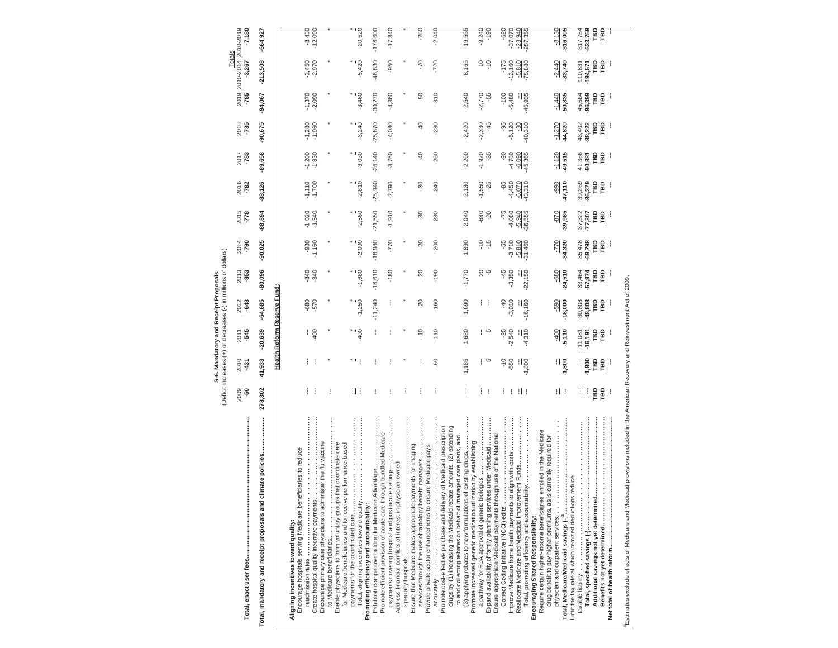| $-7,180$                                                 | $-664,927$                                                  |                                   |                                                                                                     | $-8,430$             | $-12,090$ |                                                                 |                                                                 |                                                             |                                   | $-20,520$                                  | $-176,600$                                                                             |                                                                    | $-17,840$                                          |                                                            |   | $-260$                                                                                                                    |                                                             | $-2,040$ |                                                                       |                                                                    |                                                                | $-19,555$                                                                                                                      | $-9,240$                                        | $-190$                                                         |                                                                  | $-620$        | $-37,070$                             | $-23,940$<br>$-287,355$                            |                                    |                                                                      |                                                                      | $-8,130$                          | $-316,005$                                             | $-317,754$ | -633,759   | <b>TBD</b> | <b>TBD</b>                  |   |
|----------------------------------------------------------|-------------------------------------------------------------|-----------------------------------|-----------------------------------------------------------------------------------------------------|----------------------|-----------|-----------------------------------------------------------------|-----------------------------------------------------------------|-------------------------------------------------------------|-----------------------------------|--------------------------------------------|----------------------------------------------------------------------------------------|--------------------------------------------------------------------|----------------------------------------------------|------------------------------------------------------------|---|---------------------------------------------------------------------------------------------------------------------------|-------------------------------------------------------------|----------|-----------------------------------------------------------------------|--------------------------------------------------------------------|----------------------------------------------------------------|--------------------------------------------------------------------------------------------------------------------------------|-------------------------------------------------|----------------------------------------------------------------|------------------------------------------------------------------|---------------|---------------------------------------|----------------------------------------------------|------------------------------------|----------------------------------------------------------------------|----------------------------------------------------------------------|-----------------------------------|--------------------------------------------------------|------------|------------|------------|-----------------------------|---|
| 2019 2010-2014 2010-2019<br>-785 -3,267 -7,180<br>Totals | $-213,508$                                                  |                                   |                                                                                                     | $-2,450$             | $-2,970$  |                                                                 |                                                                 |                                                             |                                   | $-5,420$                                   | $-46,830$                                                                              |                                                                    | $-950$                                             |                                                            |   | $-70$                                                                                                                     |                                                             | $-720$   |                                                                       |                                                                    |                                                                | $-8,165$                                                                                                                       | $\frac{1}{2}$                                   | $-10$                                                          |                                                                  | $-175$        | $-13,160$                             | $-\frac{5.810}{75.880}$                            |                                    |                                                                      |                                                                      | $-2,440$                          | $-83,740$                                              | $-110,831$ | $-194,571$ | ГBD        | <b>TBD</b>                  | j |
|                                                          | $-94,067$                                                   |                                   |                                                                                                     | $-1,370$             | $-2,090$  |                                                                 |                                                                 |                                                             |                                   | $-3,460$                                   | $-30,270$                                                                              |                                                                    | $-4,360$                                           |                                                            |   | -50                                                                                                                       |                                                             | $-310$   |                                                                       |                                                                    |                                                                | $-2,540$                                                                                                                       | $-2,770$                                        | -55                                                            |                                                                  | $-100$        | $-5,480$                              | $-45,935$                                          |                                    |                                                                      |                                                                      | $-1,440$                          | 50,835                                                 | $-45,564$  | $-96,399$  | Γ          | 剾                           |   |
| $\frac{2018}{785}$                                       | $-90,675$                                                   |                                   |                                                                                                     | $-1,280$<br>$-1,960$ |           |                                                                 |                                                                 |                                                             |                                   | $-3,240$                                   | $-25,870$                                                                              |                                                                    | $-4,080$                                           |                                                            |   | $\frac{40}{5}$                                                                                                            |                                                             | $-280$   |                                                                       |                                                                    |                                                                | $-2,420$                                                                                                                       | $-2,330$                                        | $-45$                                                          |                                                                  | $-95$         | $-5,120$                              | $-30,310$                                          |                                    |                                                                      |                                                                      | $-1,270$                          | -44,820                                                | $-43,402$  | $-88,222$  | ГBD        | 凹                           | j |
| $\frac{2017}{783}$                                       | -89,658                                                     |                                   |                                                                                                     | $-1,200$             | $-1,830$  |                                                                 |                                                                 |                                                             |                                   | $-3,030$                                   | $-26,140$                                                                              |                                                                    | $-3,750$                                           |                                                            |   | $-40$                                                                                                                     |                                                             | $-260$   |                                                                       |                                                                    |                                                                | $-2,260$                                                                                                                       | $-1,920$                                        | $-35$                                                          |                                                                  | နှ            | $-4,780$                              | $-6,090$<br>$-45,365$                              |                                    |                                                                      |                                                                      | $-1,120$                          | $-49,515$                                              | $-41,366$  | $-90,881$  | ГBD        | ED                          | I |
| $\frac{2016}{782}$                                       | $-88,126$                                                   |                                   |                                                                                                     | $-1,110$             | $-1,700$  |                                                                 |                                                                 |                                                             |                                   | $-2,810$                                   | $-25,940$                                                                              |                                                                    | $-2,790$                                           |                                                            |   | $-30$                                                                                                                     |                                                             | $-240$   |                                                                       |                                                                    |                                                                | $-2,130$                                                                                                                       | $-1,550$                                        | $-25$                                                          |                                                                  | -85           | $-4,450$                              | $-6,070$<br>$-43,310$                              |                                    |                                                                      |                                                                      | $-990$                            | $-47,110$                                              | $-39,269$  | -86,379    | Р          | 副                           |   |
| $rac{2015}{778}$                                         | $-88,894$                                                   |                                   |                                                                                                     | $-1,020$             | $-1,540$  |                                                                 |                                                                 |                                                             |                                   | $-2,560$                                   | $-21,550$                                                                              |                                                                    | $-1,910$                                           |                                                            |   | -30                                                                                                                       |                                                             | $-230$   |                                                                       |                                                                    |                                                                | $-2,040$                                                                                                                       | $-680$                                          | $-20$                                                          |                                                                  | $-75$         | $-4,080$                              | $-5,940$<br>36,555                                 |                                    |                                                                      |                                                                      | $-870$                            | $-39,985$                                              | $-37,322$  | $-77,307$  | ГBD        | 副                           |   |
| $\frac{2014}{790}$                                       | $-90,025$                                                   |                                   |                                                                                                     | $-930$               | $-1,160$  |                                                                 |                                                                 |                                                             |                                   | $-2,090$                                   | $-18,980$                                                                              |                                                                    | -770                                               |                                                            |   | $-20$                                                                                                                     |                                                             | $-200$   |                                                                       |                                                                    |                                                                | $-1,890$                                                                                                                       |                                                 | $\frac{5}{1}$                                                  |                                                                  | -55           | $-3,710$                              | $\frac{-5,810}{-31,460}$                           |                                    |                                                                      |                                                                      | $\overline{27}$                   | $-34,320$                                              | $-35,478$  | $-69,798$  | ГBD        | П                           | I |
| $\frac{2013}{853}$                                       | $-80,096$                                                   |                                   |                                                                                                     | -840                 | $-840$    |                                                                 |                                                                 |                                                             |                                   | $-1,680$                                   | $-16,610$                                                                              |                                                                    | $-180$                                             |                                                            |   | $-20$                                                                                                                     |                                                             | $-190$   |                                                                       |                                                                    |                                                                | $-1,770$                                                                                                                       |                                                 | 8 F                                                            |                                                                  | -45           | $-3,350$                              | $-22,150$                                          |                                    |                                                                      |                                                                      | -680                              | $-24,510$                                              | $-33,464$  | $-57,974$  | ГBD        | $\mathbf{p}$                | I |
| $\frac{2012}{648}$                                       | $-64,685$                                                   | <b>Health Reform Reserve Fund</b> |                                                                                                     | -680                 | $-570$    |                                                                 |                                                                 |                                                             |                                   | $-1,250$                                   | $-11,240$                                                                              |                                                                    | I                                                  |                                                            |   | $\overline{c}$                                                                                                            |                                                             | $-160$   |                                                                       |                                                                    |                                                                | $-1,690$                                                                                                                       | ł.                                              |                                                                |                                                                  | $-40$         | $-3,010$                              | $-16,160$                                          |                                    |                                                                      |                                                                      | $-590$                            | $-18,000$                                              | $-30,808$  | $-48,808$  | РÔ         | 副                           | I |
| $\frac{2011}{545}$                                       | $-20,639$                                                   |                                   |                                                                                                     |                      | $-400$    |                                                                 |                                                                 |                                                             |                                   | $-400$                                     |                                                                                        |                                                                    |                                                    |                                                            |   | $\frac{0}{1}$                                                                                                             |                                                             | $-110$   |                                                                       |                                                                    |                                                                | $-1,630$                                                                                                                       | i                                               | Б                                                              |                                                                  | $-25$         | $-2,540$                              | $\frac{1}{4,310}$                                  |                                    |                                                                      |                                                                      | $rac{1}{2}$                       | $-5,110$                                               | $-11,081$  | $-16,191$  | ГBD        | <b>TBD</b>                  | j |
| $\frac{2010}{431}$                                       | 41,938                                                      |                                   |                                                                                                     |                      |           |                                                                 |                                                                 |                                                             | $*$ 1                             |                                            |                                                                                        |                                                                    |                                                    |                                                            |   |                                                                                                                           |                                                             | -60      |                                                                       |                                                                    |                                                                | $-1,185$                                                                                                                       | ł                                               | 5                                                              |                                                                  | $\frac{1}{2}$ | -550                                  | $\frac{1}{1,800}$                                  |                                    |                                                                      |                                                                      | 1,800<br>T                        |                                                        |            | $-1,800$   | ГBD        | 副                           |   |
| $\frac{2009}{50}$                                        | 278,802                                                     |                                   |                                                                                                     | L                    |           |                                                                 |                                                                 |                                                             | 1 I                               |                                            | I                                                                                      |                                                                    | ļ                                                  |                                                            | I | ł                                                                                                                         |                                                             |          |                                                                       |                                                                    |                                                                | ł                                                                                                                              | ł.                                              | ÷                                                              |                                                                  | I             | ÷                                     | H I                                                |                                    |                                                                      |                                                                      | H I                               |                                                        |            | 11 I       | Р          | $\frac{1}{2}$               | J |
|                                                          | Total, mandatory and receipt proposals and climate policies |                                   | Encourage hospitals serving Medicare beneficiaries to reduce<br>Aligning incentives toward quality: | ļ                    |           | Encourage primary care physicians to administer the flu vaccine | Enable physicians to form voluntary groups that coordinate care | for Medicare beneficiaries and to receive performance-based | payments for the coordinated care | Total, aligning incentives toward quality. | Establish competitive bidding for Medicare<br>Promoting efficiency and accountability: | Promote efficient provision of acute care through bundled Medicare | payments covering hospital and post-acute settings | Address financial conflicts of interest in physician-owned |   | <br>services through the use of radiology benefit managers<br>Ensure that Medicare makes appropriate payments for imaging | Provide private sector enhancements to ensure Medicare pays |          | Promote cost-effective purchase and delivery of Medicaid prescription | drugs by (1) increasing the Medicaid rebate amounts, (2) extending | to and collecting rebates on behalf of managed care plans, and | (3) applying rebates to new formulations of existing drugs<br>Promote increased generic medication utilization by establishing | a pathway for FDA approval of generic biologics | Expand availability of family planning services under Medicaid | Ensure appropriate Medicaid payments through use of the National |               | Improve Medicare home health payments | Reallocate Medicare and Medicaid Improvement Funds | Encouraging Shared Responsibility: | Require certain higher-income beneficiaries enrolled in the Medicare | is currently required for<br>drug benefit to pay higher premiums, as | physician and outpatient services | Limit the tax rate at which itemized deductions reduce |            |            |            | Benefits not yet determined |   |

Estimates exclude effects of Medicare and Medicald provisions included in the American Recovery and Reinvestment Act of 2009. Estimates exclude effects of Medicare and Medicaid provisions included in the American Recovery and Reinvestment Act of 2009.

S-6. Mandatory and Receipt Proposals<br>(Deficit increases (+) or decreases (-) in millions of dollars) (Deficit increases (+) or decreases (-) in millions of dollars) **S-6. Mandatory and Receipt Proposals**